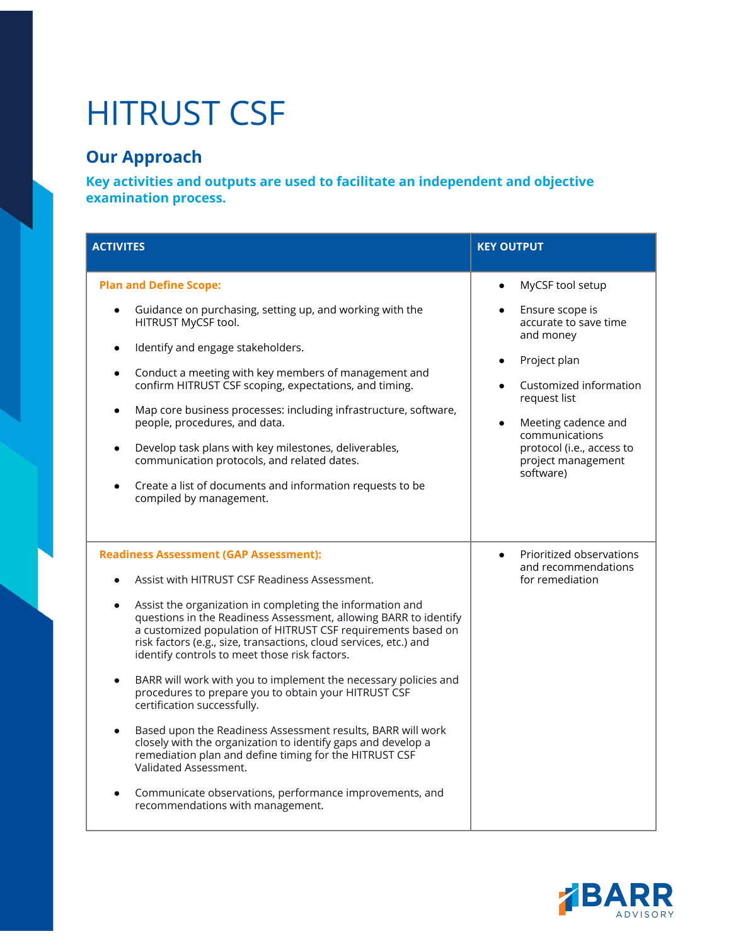## HITRUST CSF

## **Our Approach**

**Key activities and outputs are used to facilitate an independent and objective examination process.**

| <b>ACTIVITES</b>                                                                                                                                                                                                                                                                                                                                                                                                                                                                                                                                                                                                                                                                                                                                                                                                                                                                                              | <b>KEY OUTPUT</b>                                                                                                                                                                                                        |
|---------------------------------------------------------------------------------------------------------------------------------------------------------------------------------------------------------------------------------------------------------------------------------------------------------------------------------------------------------------------------------------------------------------------------------------------------------------------------------------------------------------------------------------------------------------------------------------------------------------------------------------------------------------------------------------------------------------------------------------------------------------------------------------------------------------------------------------------------------------------------------------------------------------|--------------------------------------------------------------------------------------------------------------------------------------------------------------------------------------------------------------------------|
| <b>Plan and Define Scope:</b>                                                                                                                                                                                                                                                                                                                                                                                                                                                                                                                                                                                                                                                                                                                                                                                                                                                                                 | MyCSF tool setup                                                                                                                                                                                                         |
| Guidance on purchasing, setting up, and working with the<br>HITRUST MyCSF tool.<br>Identify and engage stakeholders.<br>$\bullet$<br>Conduct a meeting with key members of management and<br>confirm HITRUST CSF scoping, expectations, and timing.<br>Map core business processes: including infrastructure, software,<br>$\bullet$<br>people, procedures, and data.<br>Develop task plans with key milestones, deliverables,<br>communication protocols, and related dates.<br>Create a list of documents and information requests to be<br>compiled by management.                                                                                                                                                                                                                                                                                                                                         | Ensure scope is<br>accurate to save time<br>and money<br>Project plan<br>Customized information<br>request list<br>Meeting cadence and<br>communications<br>protocol (i.e., access to<br>project management<br>software) |
| <b>Readiness Assessment (GAP Assessment):</b><br>Assist with HITRUST CSF Readiness Assessment.<br>Assist the organization in completing the information and<br>$\bullet$<br>questions in the Readiness Assessment, allowing BARR to identify<br>a customized population of HITRUST CSF requirements based on<br>risk factors (e.g., size, transactions, cloud services, etc.) and<br>identify controls to meet those risk factors.<br>BARR will work with you to implement the necessary policies and<br>procedures to prepare you to obtain your HITRUST CSF<br>certification successfully.<br>Based upon the Readiness Assessment results, BARR will work<br>closely with the organization to identify gaps and develop a<br>remediation plan and define timing for the HITRUST CSF<br>Validated Assessment.<br>Communicate observations, performance improvements, and<br>recommendations with management. | Prioritized observations<br>$\bullet$<br>and recommendations<br>for remediation                                                                                                                                          |

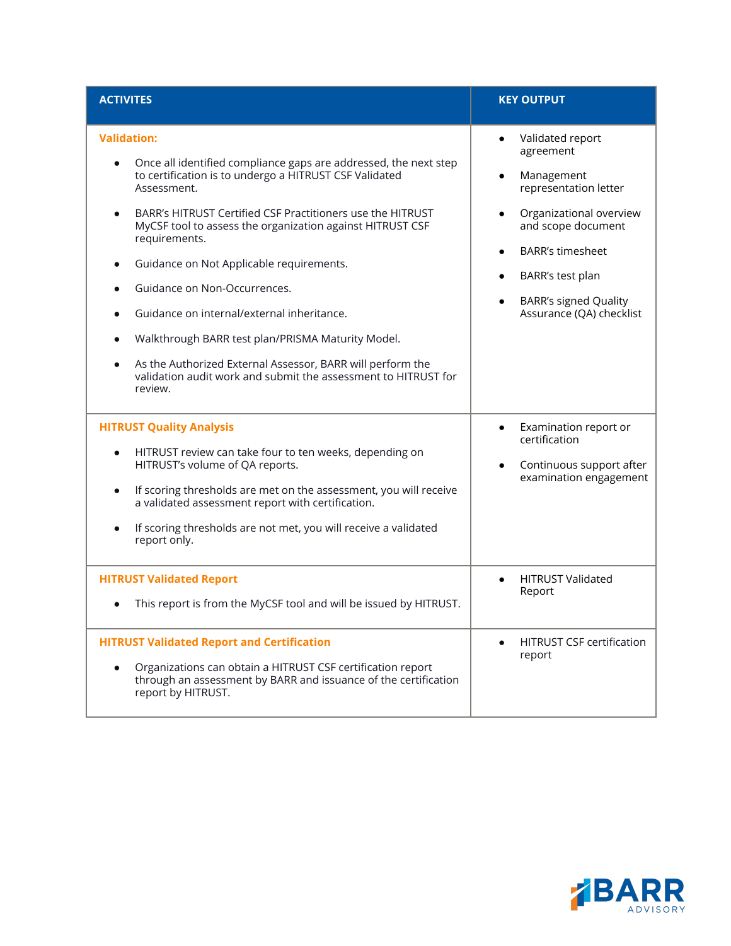| <b>ACTIVITES</b>                                                                                                                                                                                                                                                                                                                                                                                                                                                                                                                                                                                                                                   | <b>KEY OUTPUT</b>                                                                                                                                                                                                                                          |
|----------------------------------------------------------------------------------------------------------------------------------------------------------------------------------------------------------------------------------------------------------------------------------------------------------------------------------------------------------------------------------------------------------------------------------------------------------------------------------------------------------------------------------------------------------------------------------------------------------------------------------------------------|------------------------------------------------------------------------------------------------------------------------------------------------------------------------------------------------------------------------------------------------------------|
| <b>Validation:</b><br>Once all identified compliance gaps are addressed, the next step<br>to certification is to undergo a HITRUST CSF Validated<br>Assessment.<br>BARR's HITRUST Certified CSF Practitioners use the HITRUST<br>MyCSF tool to assess the organization against HITRUST CSF<br>requirements.<br>Guidance on Not Applicable requirements.<br>$\bullet$<br>Guidance on Non-Occurrences.<br>Guidance on internal/external inheritance.<br>Walkthrough BARR test plan/PRISMA Maturity Model.<br>As the Authorized External Assessor, BARR will perform the<br>validation audit work and submit the assessment to HITRUST for<br>review. | Validated report<br>$\bullet$<br>agreement<br>Management<br>representation letter<br>Organizational overview<br>and scope document<br><b>BARR's timesheet</b><br>BARR's test plan<br>$\bullet$<br><b>BARR's signed Quality</b><br>Assurance (QA) checklist |
| <b>HITRUST Quality Analysis</b><br>HITRUST review can take four to ten weeks, depending on<br>HITRUST's volume of QA reports.<br>If scoring thresholds are met on the assessment, you will receive<br>$\bullet$<br>a validated assessment report with certification.<br>If scoring thresholds are not met, you will receive a validated<br>report only.                                                                                                                                                                                                                                                                                            | Examination report or<br>$\bullet$<br>certification<br>Continuous support after<br>examination engagement                                                                                                                                                  |
| <b>HITRUST Validated Report</b><br>This report is from the MyCSF tool and will be issued by HITRUST.                                                                                                                                                                                                                                                                                                                                                                                                                                                                                                                                               | <b>HITRUST Validated</b><br>Report                                                                                                                                                                                                                         |
| <b>HITRUST Validated Report and Certification</b><br>Organizations can obtain a HITRUST CSF certification report<br>through an assessment by BARR and issuance of the certification<br>report by HITRUST.                                                                                                                                                                                                                                                                                                                                                                                                                                          | <b>HITRUST CSF certification</b><br>report                                                                                                                                                                                                                 |